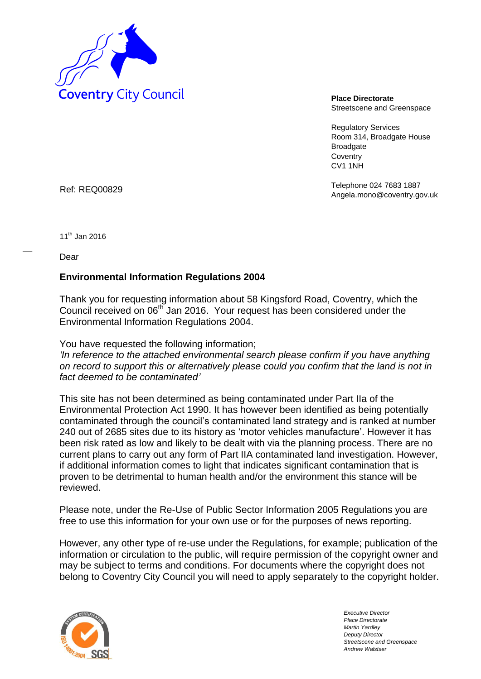

Streetscene and Greenspace

Regulatory Services Room 314, Broadgate House **Broadgate Coventry** CV1 1NH

Telephone 024 7683 1887 Ref: REQ00829 **Ref:** REQ00829 **Ref:** REQ00829

 $11^{th}$  Jan 2016

Dear

## **Environmental Information Regulations 2004**

Thank you for requesting information about 58 Kingsford Road, Coventry, which the Council received on 06<sup>th</sup> Jan 2016. Your request has been considered under the Environmental Information Regulations 2004.

You have requested the following information;

*'In reference to the attached environmental search please confirm if you have anything on record to support this or alternatively please could you confirm that the land is not in fact deemed to be contaminated'* 

This site has not been determined as being contaminated under Part IIa of the Environmental Protection Act 1990. It has however been identified as being potentially contaminated through the council's contaminated land strategy and is ranked at number 240 out of 2685 sites due to its history as 'motor vehicles manufacture'. However it has been risk rated as low and likely to be dealt with via the planning process. There are no current plans to carry out any form of Part IIA contaminated land investigation. However, if additional information comes to light that indicates significant contamination that is proven to be detrimental to human health and/or the environment this stance will be reviewed.

Please note, under the Re-Use of Public Sector Information 2005 Regulations you are free to use this information for your own use or for the purposes of news reporting.

However, any other type of re-use under the Regulations, for example; publication of the information or circulation to the public, will require permission of the copyright owner and may be subject to terms and conditions. For documents where the copyright does not belong to Coventry City Council you will need to apply separately to the copyright holder.



*Executive Director Place Directorate Martin Yardley Deputy Director Streetscene and Greenspace Andrew Walstser*